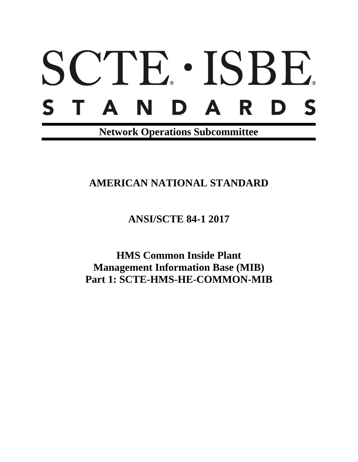# SCTE · ISBE. STANDARD S

**Network Operations Subcommittee**

**AMERICAN NATIONAL STANDARD**

**ANSI/SCTE 84-1 2017**

**HMS Common Inside Plant Management Information Base (MIB) Part 1: SCTE-HMS-HE-COMMON-MIB**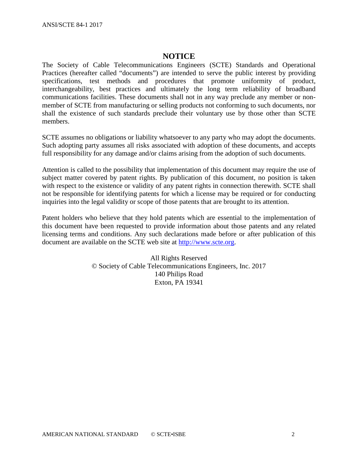## **NOTICE**

The Society of Cable Telecommunications Engineers (SCTE) Standards and Operational Practices (hereafter called "documents") are intended to serve the public interest by providing specifications, test methods and procedures that promote uniformity of product, interchangeability, best practices and ultimately the long term reliability of broadband communications facilities. These documents shall not in any way preclude any member or nonmember of SCTE from manufacturing or selling products not conforming to such documents, nor shall the existence of such standards preclude their voluntary use by those other than SCTE members.

SCTE assumes no obligations or liability whatsoever to any party who may adopt the documents. Such adopting party assumes all risks associated with adoption of these documents, and accepts full responsibility for any damage and/or claims arising from the adoption of such documents.

Attention is called to the possibility that implementation of this document may require the use of subject matter covered by patent rights. By publication of this document, no position is taken with respect to the existence or validity of any patent rights in connection therewith. SCTE shall not be responsible for identifying patents for which a license may be required or for conducting inquiries into the legal validity or scope of those patents that are brought to its attention.

Patent holders who believe that they hold patents which are essential to the implementation of this document have been requested to provide information about those patents and any related licensing terms and conditions. Any such declarations made before or after publication of this document are available on the SCTE web site at [http://www.scte.org.](http://www.scte.org/)

> All Rights Reserved © Society of Cable Telecommunications Engineers, Inc. 2017 140 Philips Road Exton, PA 19341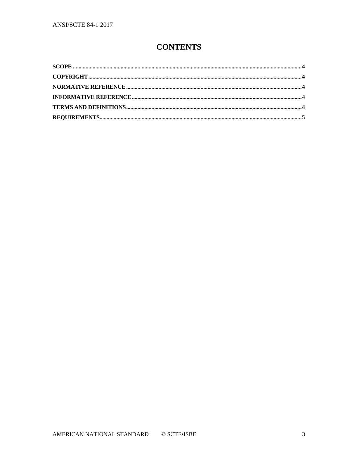## **CONTENTS**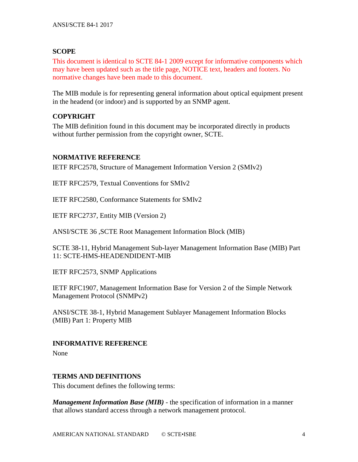## <span id="page-3-0"></span>**SCOPE**

This document is identical to SCTE 84-1 2009 except for informative components which may have been updated such as the title page, NOTICE text, headers and footers. No normative changes have been made to this document.

The MIB module is for representing general information about optical equipment present in the headend (or indoor) and is supported by an SNMP agent.

## <span id="page-3-1"></span>**COPYRIGHT**

The MIB definition found in this document may be incorporated directly in products without further permission from the copyright owner, SCTE.

## <span id="page-3-2"></span>**NORMATIVE REFERENCE**

IETF RFC2578, Structure of Management Information Version 2 (SMIv2)

IETF RFC2579, Textual Conventions for SMIv2

IETF RFC2580, Conformance Statements for SMIv2

IETF RFC2737, Entity MIB (Version 2)

ANSI/SCTE 36 ,SCTE Root Management Information Block (MIB)

SCTE 38-11, Hybrid Management Sub-layer Management Information Base (MIB) Part 11: SCTE-HMS-HEADENDIDENT-MIB

IETF RFC2573, SNMP Applications

IETF RFC1907, Management Information Base for Version 2 of the Simple Network Management Protocol (SNMPv2)

ANSI/SCTE 38-1, Hybrid Management Sublayer Management Information Blocks (MIB) Part 1: Property MIB

## <span id="page-3-3"></span>**INFORMATIVE REFERENCE**

None

## <span id="page-3-4"></span>**TERMS AND DEFINITIONS**

This document defines the following terms:

*Management Information Base (MIB)* - the specification of information in a manner that allows standard access through a network management protocol.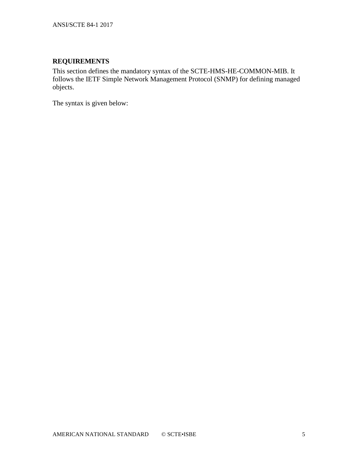## <span id="page-4-0"></span>**REQUIREMENTS**

This section defines the mandatory syntax of the SCTE-HMS-HE-COMMON-MIB. It follows the IETF Simple Network Management Protocol (SNMP) for defining managed objects.

The syntax is given below: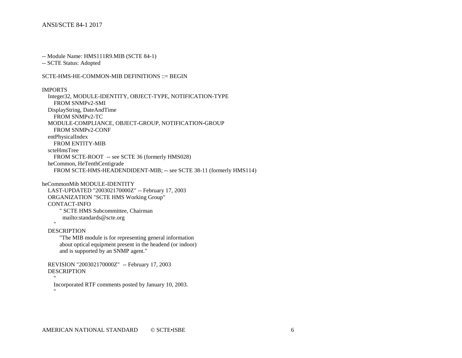-- Module Name: HMS111R9.MIB (SCTE 84-1)

-- SCTE Status: Adopted

#### $SCTE$ -HMS-HE-COMMON-MIB DEFINITIONS  $::=$  BEGIN

#### IMPORTS

 Integer32, MODULE-IDENTITY, OBJECT-TYPE, NOTIFICATION-TYPE FROM SNMPv2-SMI DisplayString, DateAndTime FROM SNMPv2-TC MODULE-COMPLIANCE, OBJECT-GROUP, NOTIFICATION-GROUP FROM SNMPv2-CONF entPhysicalIndex FROM ENTITY-MIB scteHmsTree FROM SCTE-ROOT -- see SCTE 36 (formerly HMS028) heCommon, HeTenthCentigrade FROM SCTE-HMS-HEADENDIDENT-MIB; -- see SCTE 38-11 (formerly HMS114)

heCommonMib MODULE-IDENTITY

 LAST-UPDATED "200302170000Z" -- February 17, 2003 ORGANIZATION "SCTE HMS Working Group" CONTACT-INFO " SCTE HMS Subcommittee, Chairman mailto:standards@scte.org

#### DESCRIPTION

 "The MIB module is for representing general information about optical equipment present in the headend (or indoor) and is supported by an SNMP agent."

 REVISION "200302170000Z" -- February 17, 2003 DESCRIPTION

"" ""

"" ""

"" ""

Incorporated RTF comments posted by January 10, 2003.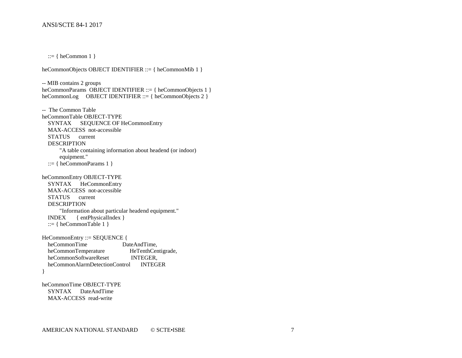::=  $\{$  heCommon 1  $\}$ 

heCommonObjects OBJECT IDENTIFIER ::= { heCommonMib 1 } -- MIB contains 2 groups heCommonParams OBJECT IDENTIFIER ::= { heCommonObjects 1 } heCommonLog OBJECT IDENTIFIER ::= { heCommonObjects 2 } -- The Common Table heCommonTable OBJECT-TYPE SYNTAX SEQUENCE OF HeCommonEntry MAX-ACCESS not-accessible STATUS current DESCRIPTION "A table containing information about headend (or indoor) equipment."  $::= {heCommonParameters 1}$ heCommonEntry OBJECT-TYPE SYNTAX HeCommonEntry MAX-ACCESS not-accessible STATUS current DESCRIPTION "Information about particular headend equipment." INDEX { entPhysicalIndex } ::=  $\{ heCommonTable 1 \}$ HeCommonEntry ::= SEQUENCE { heCommonTime DateAndTime,<br>heCommonTemperature HeTenthCentigrade, heCommonTemperature heCommonSoftwareReset INTEGER, heCommonAlarmDetectionControl INTEGER }

heCommonTime OBJECT-TYPE SYNTAX DateAndTime MAX-ACCESS read-write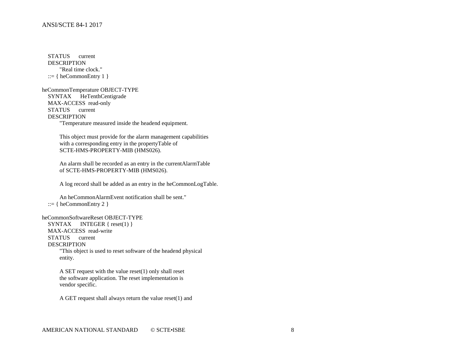STATUS current DESCRIPTION "Real time clock."  $::= \{ heCommonEntry 1 \}$ 

heCommonTemperature OBJECT-TYPE SYNTAX HeTenthCentigrade MAX-ACCESS read-only STATUS current DESCRIPTION "Temperature measured inside the headend equipment.

> This object must provide for the alarm management capabilities with a corresponding entry in the propertyTable of SCTE-HMS-PROPERTY-MIB (HMS026).

 An alarm shall be recorded as an entry in the currentAlarmTable of SCTE-HMS-PROPERTY-MIB (HMS026).

A log record shall be added as an entry in the heCommonLogTable.

 An heCommonAlarmEvent notification shall be sent."  $::= \{ heCommonEntry 2 \}$ 

heCommonSoftwareReset OBJECT-TYPE  $SYNTAX$  INTEGER { reset(1) } MAX-ACCESS read-write STATUS current DESCRIPTION "This object is used to reset software of the headend physical entity.

> A SET request with the value reset(1) only shall reset the software application. The reset implementation is vendor specific.

A GET request shall always return the value reset(1) and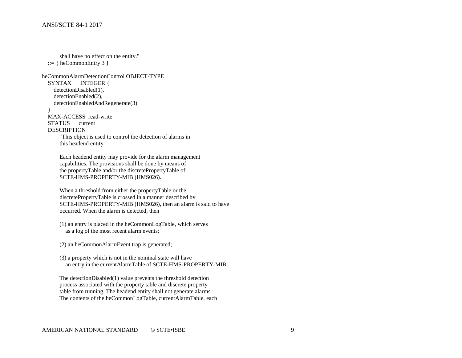shall have no effect on the entity."  $::= \{ heCommonEntry 3 \}$ heCommonAlarmDetectionControl OBJECT-TYPE SYNTAX INTEGER { detectionDisabled(1), detectionEnabled(2), detectionEnabledAndRegenerate(3) } MAX-ACCESS read-write STATUS current DESCRIPTION "This object is used to control the detection of alarms in this headend entity. Each headend entity may provide for the alarm management capabilities. The provisions shall be done by means of the propertyTable and/or the discretePropertyTable of SCTE-HMS-PROPERTY-MIB (HMS026). When a threshold from either the propertyTable or the discretePropertyTable is crossed in a manner described by SCTE-HMS-PROPERTY-MIB (HMS026), then an alarm is said to have occurred. When the alarm is detected, then (1) an entry is placed in the heCommonLogTable, which serves as a log of the most recent alarm events; (2) an heCommonAlarmEvent trap is generated; (3) a property which is not in the nominal state will have an entry in the currentAlarmTable of SCTE-HMS-PROPERTY-MIB. The detectionDisabled(1) value prevents the threshold detection process associated with the property table and discrete property table from running. The headend entity shall not generate alarms. The contents of the heCommonLogTable, currentAlarmTable, each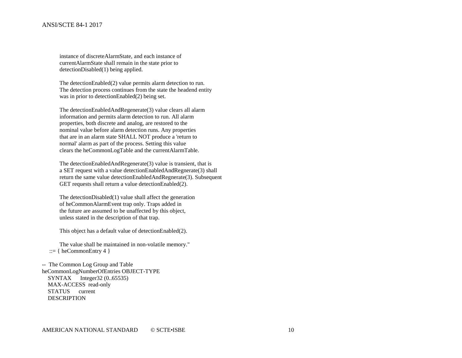instance of discreteAlarmState, and each instance of currentAlarmState shall remain in the state prior to detectionDisabled(1) being applied.

 The detectionEnabled(2) value permits alarm detection to run. The detection process continues from the state the headend entity was in prior to detectionEnabled(2) being set.

 The detectionEnabledAndRegenerate(3) value clears all alarm information and permits alarm detection to run. All alarm properties, both discrete and analog, are restored to the nominal value before alarm detection runs. Any properties that are in an alarm state SHALL NOT produce a 'return to normal' alarm as part of the process. Setting this value clears the heCommonLogTable and the currentAlarmTable.

 The detectionEnabledAndRegenerate(3) value is transient, that is a SET request with a value detectionEnabledAndRegnerate(3) shall return the same value detectionEnabledAndRegnerate(3). Subsequent GET requests shall return a value detectionEnabled(2).

 The detectionDisabled(1) value shall affect the generation of heCommonAlarmEvent trap only. Traps added in the future are assumed to be unaffected by this object, unless stated in the description of that trap.

This object has a default value of detectionEnabled(2).

 The value shall be maintained in non-volatile memory."  $::= \{ \text{heCommonEntry 4 } \}$ 

-- The Common Log Group and Table heCommonLogNumberOfEntries OBJECT-TYPE  $SYNTAX$  Integer32 (0..65535) MAX-ACCESS read-only STATUS current DESCRIPTION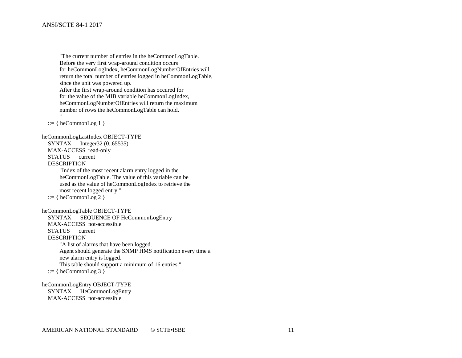"The current number of entries in the heCommonLogTable. Before the very first wrap-around condition occurs for heCommonLogIndex, heCommonLogNumberOfEntries will return the total number of entries logged in heCommonLogTable, since the unit was powered up. After the first wrap-around condition has occured for for the value of the MIB variable heCommonLogIndex, heCommonLogNumberOfEntries will return the maximum number of rows the heCommonLogTable can hold. "" "" ""  $::= \{ \text{heCommonLog } 1 \}$ heCommonLogLastIndex OBJECT-TYPE SYNTAX Integer32 (0..65535) MAX-ACCESS read-only STATUS current DESCRIPTION "Index of the most recent alarm entry logged in the heCommonLogTable. The value of this variable can be used as the value of heCommonLogIndex to retrieve the most recent logged entry."  $::= \{ \text{heCommonLog 2} \}$ heCommonLogTable OBJECT-TYPE SYNTAX SEQUENCE OF HeCommonLogEntry MAX-ACCESS not-accessible STATUS current DESCRIPTION "A list of alarms that have been logged. Agent should generate the SNMP HMS notification every time a new alarm entry is logged. This table should support a minimum of 16 entries."  $::= \{ \text{heCommonLog } 3 \}$ 

heCommonLogEntry OBJECT-TYPE SYNTAX HeCommonLogEntry MAX-ACCESS not-accessible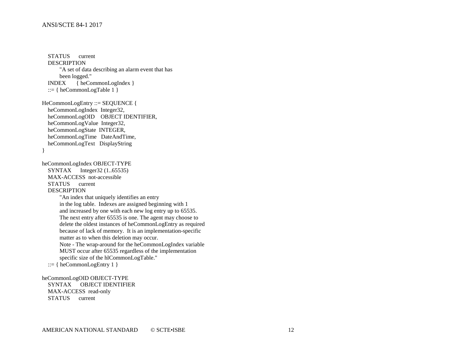STATUS current DESCRIPTION "A set of data describing an alarm event that has been logged." INDEX { heCommonLogIndex }  $::= \{ heCommonLogTable 1 \}$ HeCommonLogEntry ::= SEQUENCE { heCommonLogIndex Integer32, heCommonLogOID OBJECT IDENTIFIER, heCommonLogValue Integer32, heCommonLogState INTEGER, heCommonLogTime DateAndTime, heCommonLogText DisplayString } heCommonLogIndex OBJECT-TYPE SYNTAX Integer32 (1..65535) MAX-ACCESS not-accessible STATUS current DESCRIPTION "An index that uniquely identifies an entry in the log table. Indexes are assigned beginning with 1 and increased by one with each new log entry up to 65535. The next entry after 65535 is one. The agent may choose to delete the oldest instances of heCommonLogEntry as required because of lack of memory. It is an implementation-specific matter as to when this deletion may occur. Note - The wrap-around for the heCommonLogIndex variable MUST occur after 65535 regardless of the implementation specific size of the hlCommonLogTable."  $::= \{ \text{heCommonLogEntry 1} \}$ heCommonLogOID OBJECT-TYPE

 SYNTAX OBJECT IDENTIFIER MAX-ACCESS read-only STATUS current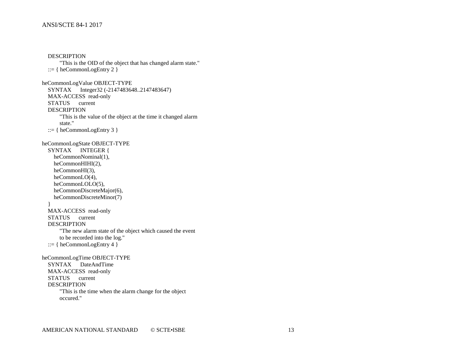```
 DESCRIPTION
      "This is the OID of the object that has changed alarm state."
  ::= {heCommonLogEntry 2}heCommonLogValue OBJECT-TYPE
 SYNTAX Integer32 (-2147483648..2147483647)
  MAX-ACCESS read-only
  STATUS current
  DESCRIPTION
      "This is the value of the object at the time it changed alarm 
      state."
  ::= {heCommonLogEntry 3}heCommonLogState OBJECT-TYPE
  SYNTAX INTEGER {
    heCommonNominal(1),
    heCommonHIHI(2),
   heCommonHI(3),
    heCommonLO(4),
    heCommonLOLO(5),
    heCommonDiscreteMajor(6),
    heCommonDiscreteMinor(7)
}
  MAX-ACCESS read-only
  STATUS current
  DESCRIPTION
      "The new alarm state of the object which caused the event
      to be recorded into the log."
  ::= {heCommonLogEntry 4}heCommonLogTime OBJECT-TYPE
  SYNTAX DateAndTime
  MAX-ACCESS read-only
  STATUS current
  DESCRIPTION
      "This is the time when the alarm change for the object
      occured."
```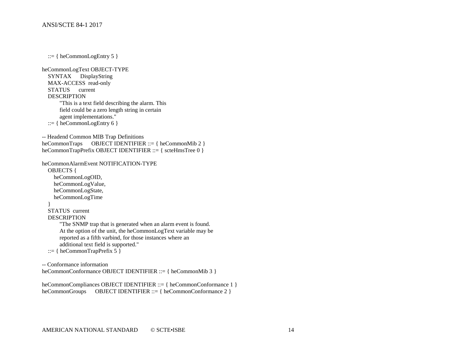$::= \{ heCommonLogEntry 5 \}$ heCommonLogText OBJECT-TYPE SYNTAX DisplayString MAX-ACCESS read-only STATUS current DESCRIPTION "This is a text field describing the alarm. This field could be a zero length string in certain agent implementations."  $::= \{ \text{heCommonLogEntry 6 } \}$ -- Headend Common MIB Trap Definitions heCommonTraps OBJECT IDENTIFIER ::= { heCommonMib 2 } heCommonTrapPrefix OBJECT IDENTIFIER ::= { scteHmsTree 0 } heCommonAlarmEvent NOTIFICATION-TYPE OBJECTS { heCommonLogOID, heCommonLogValue, heCommonLogState, heCommonLogTime } STATUS current DESCRIPTION "The SNMP trap that is generated when an alarm event is found. At the option of the unit, the heCommonLogText variable may be reported as a fifth varbind, for those instances where an additional text field is supported." ::= { heCommonTrapPrefix 5 } -- Conformance information heCommonConformance OBJECT IDENTIFIER ::= { heCommonMib 3 }

heCommonCompliances OBJECT IDENTIFIER ::= { heCommonConformance 1 } heCommonGroups OBJECT IDENTIFIER ::= { heCommonConformance 2 }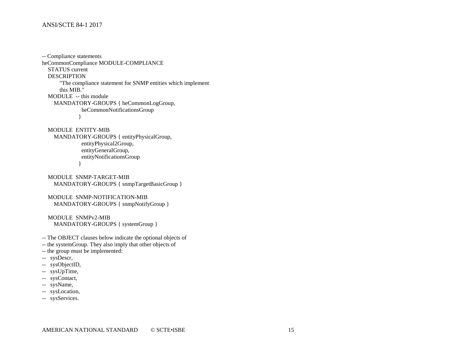-- Compliance statements heCommonCompliance MODULE-COMPLIANCE STATUS current DESCRIPTION "The compliance statement for SNMP entities which implement this MIB." MODULE -- this module MANDATORY-GROUPS { heCommonLogGroup, heCommonNotificationsGroup }

 MODULE ENTITY-MIB MANDATORY-GROUPS { entityPhysicalGroup, entityPhysical2Group, entityGeneralGroup, entityNotificationsGroup }

```
 MODULE SNMP-TARGET-MIB
MANDATORY-GROUPS { snmpTargetBasicGroup }
```

```
 MODULE SNMP-NOTIFICATION-MIB
 MANDATORY-GROUPS { snmpNotifyGroup }
```
 MODULE SNMPv2-MIB MANDATORY-GROUPS { systemGroup }

-- The OBJECT clauses below indicate the optional objects of

- -- the systemGroup. They also imply that other objects of
- -- the group must be implemented:
- -- sysDescr,
- -- sysObjectID,
- -- sysUpTime,
- -- sysContact,
- -- sysName,
- -- sysLocation,
- -- sysServices.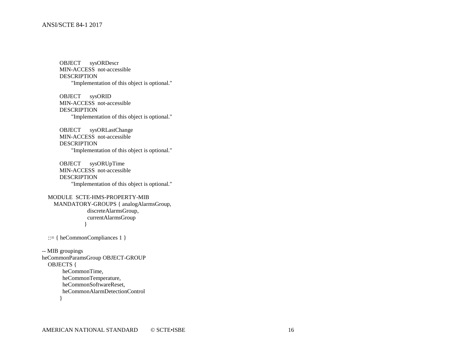OBJECT sysORDescr MIN-ACCESS not-accessible **DESCRIPTION** "Implementation of this object is optional."

 OBJECT sysORID MIN-ACCESS not-accessible DESCRIPTION "Implementation of this object is optional."

 OBJECT sysORLastChange MIN-ACCESS not-accessible DESCRIPTION "Implementation of this object is optional."

 OBJECT sysORUpTime MIN-ACCESS not-accessible DESCRIPTION "Implementation of this object is optional."

 MODULE SCTE-HMS-PROPERTY-MIB MANDATORY-GROUPS { analogAlarmsGroup, discreteAlarmsGroup, currentAlarmsGroup }

::= { heCommonCompliances 1 }

-- MIB groupings heCommonParamsGroup OBJECT-GROUP OBJECTS { heCommonTime, heCommonTemperature, heCommonSoftwareReset, heCommonAlarmDetectionControl }